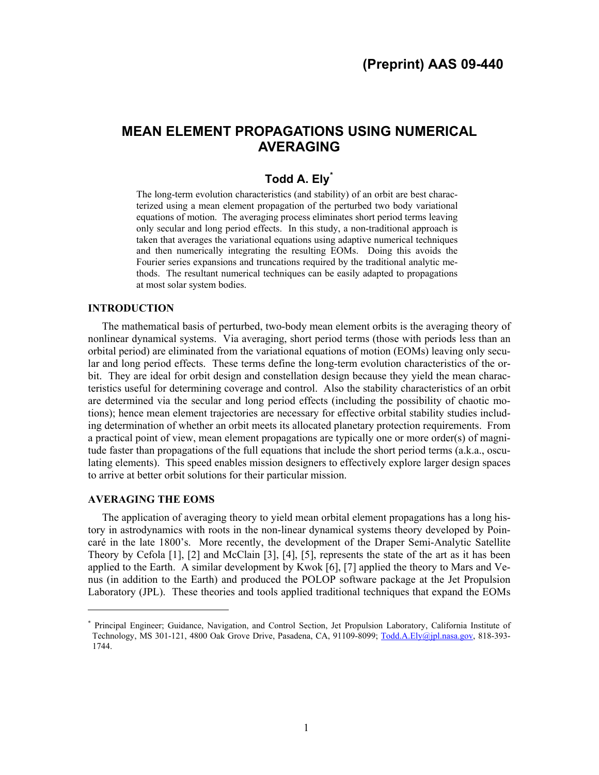# **MEAN ELEMENT PROPAGATIONS USING NUMERICAL AVERAGING**

## **Todd A. Ely[\\*](#page-0-0)**

The long-term evolution characteristics (and stability) of an orbit are best characterized using a mean element propagation of the perturbed two body variational equations of motion. The averaging process eliminates short period terms leaving only secular and long period effects. In this study, a non-traditional approach is taken that averages the variational equations using adaptive numerical techniques and then numerically integrating the resulting EOMs. Doing this avoids the Fourier series expansions and truncations required by the traditional analytic methods. The resultant numerical techniques can be easily adapted to propagations at most solar system bodies.

## **INTRODUCTION**

The mathematical basis of perturbed, two-body mean element orbits is the averaging theory of nonlinear dynamical systems. Via averaging, short period terms (those with periods less than an orbital period) are eliminated from the variational equations of motion (EOMs) leaving only secular and long period effects. These terms define the long-term evolution characteristics of the orbit. They are ideal for orbit design and constellation design because they yield the mean characteristics useful for determining coverage and control. Also the stability characteristics of an orbit are determined via the secular and long period effects (including the possibility of chaotic motions); hence mean element trajectories are necessary for effective orbital stability studies including determination of whether an orbit meets its allocated planetary protection requirements. From a practical point of view, mean element propagations are typically one or more order(s) of magnitude faster than propagations of the full equations that include the short period terms (a.k.a., osculating elements). This speed enables mission designers to effectively explore larger design spaces to arrive at better orbit solutions for their particular mission.

#### **AVERAGING THE EOMS**

l

The application of averaging theory to yield mean orbital element propagations has a long history in astrodynamics with roots in the non-linear dynamical systems theory developed by Poincaré in the late 1800's. More recently, the development of the Draper Semi-Analytic Satellite Theory by Cefola [1], [2] and McClain [3], [4], [5], represents the state of the art as it has been applied to the Earth. A similar development by Kwok [6], [7] applied the theory to Mars and Venus (in addition to the Earth) and produced the POLOP software package at the Jet Propulsion Laboratory (JPL). These theories and tools applied traditional techniques that expand the EOMs

<span id="page-0-0"></span><sup>\*</sup> Principal Engineer; Guidance, Navigation, and Control Section, Jet Propulsion Laboratory, California Institute of Technology, MS 301-121, 4800 Oak Grove Drive, Pasadena, CA, 91109-8099; [Todd.A.Ely@jpl.nasa.gov,](mailto:Todd.A.Ely@jpl.nasa.gov) 818-393-1744.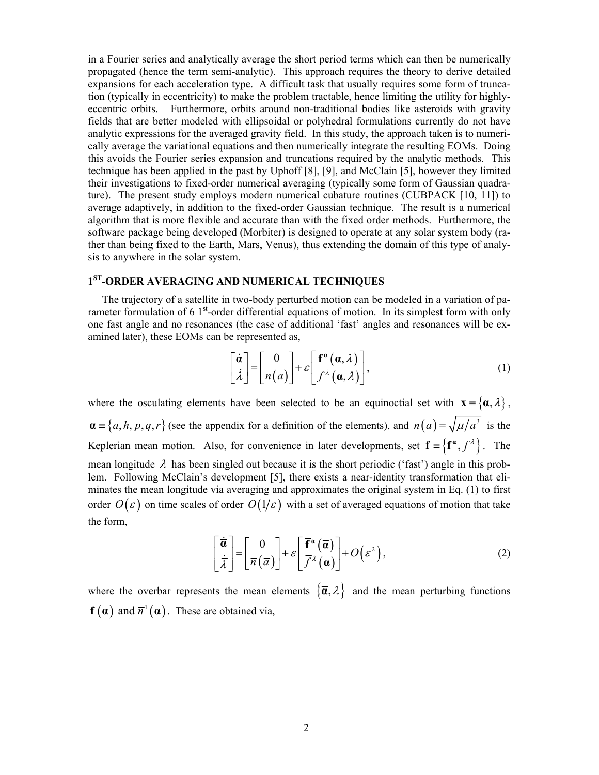in a Fourier series and analytically average the short period terms which can then be numerically propagated (hence the term semi-analytic). This approach requires the theory to derive detailed expansions for each acceleration type. A difficult task that usually requires some form of truncation (typically in eccentricity) to make the problem tractable, hence limiting the utility for highlyeccentric orbits. Furthermore, orbits around non-traditional bodies like asteroids with gravity fields that are better modeled with ellipsoidal or polyhedral formulations currently do not have analytic expressions for the averaged gravity field. In this study, the approach taken is to numerically average the variational equations and then numerically integrate the resulting EOMs. Doing this avoids the Fourier series expansion and truncations required by the analytic methods. This technique has been applied in the past by Uphoff [8], [9], and McClain [5], however they limited their investigations to fixed-order numerical averaging (typically some form of Gaussian quadrature). The present study employs modern numerical cubature routines (CUBPACK [10, 11]) to average adaptively, in addition to the fixed-order Gaussian technique. The result is a numerical algorithm that is more flexible and accurate than with the fixed order methods. Furthermore, the software package being developed (Morbiter) is designed to operate at any solar system body (rather than being fixed to the Earth, Mars, Venus), thus extending the domain of this type of analysis to anywhere in the solar system.

## **1ST-ORDER AVERAGING AND NUMERICAL TECHNIQUES**

The trajectory of a satellite in two-body perturbed motion can be modeled in a variation of parameter formulation of 6  $1<sup>st</sup>$ -order differential equations of motion. In its simplest form with only one fast angle and no resonances (the case of additional 'fast' angles and resonances will be examined later), these EOMs can be represented as,

$$
\begin{bmatrix} \dot{\boldsymbol{\alpha}} \\ \dot{\lambda} \end{bmatrix} = \begin{bmatrix} 0 \\ n(a) \end{bmatrix} + \varepsilon \begin{bmatrix} \mathbf{f}^{\alpha}(\boldsymbol{\alpha}, \lambda) \\ f^{\lambda}(\boldsymbol{\alpha}, \lambda) \end{bmatrix},
$$
(1)

<span id="page-1-0"></span>where the osculating elements have been selected to be an equinoctial set with  $\mathbf{x} = {\alpha, \lambda}$ ,  $\mathbf{a} \equiv \{a, h, p, q, r\}$  (see the appendix for a definition of the elements), and  $n(a) = \sqrt{\mu/a^3}$  is the Keplerian mean motion. Also, for convenience in later developments, set  ${\bf f} = {\bf f}^{\alpha}, f^{\lambda}$ . The mean longitude  $\lambda$  has been singled out because it is the short periodic ('fast') angle in this problem. Following McClain's development [5], there exists a near-identity transformation that eliminates the mean longitude via averaging and approximates the original system in Eq. [\(1\)](#page-1-0) to first order  $O(\varepsilon)$  on time scales of order  $O(1/\varepsilon)$  with a set of averaged equations of motion that take the form,

$$
\begin{bmatrix} \dot{\overline{\boldsymbol{a}}} \\ \dot{\overline{\boldsymbol{\lambda}}} \end{bmatrix} = \begin{bmatrix} 0 \\ \overline{n}(\overline{a}) \end{bmatrix} + \varepsilon \begin{bmatrix} \overline{\mathbf{f}}^{\boldsymbol{a}}(\overline{\mathbf{a}}) \\ \overline{f}^{\lambda}(\overline{\mathbf{a}}) \end{bmatrix} + O(\varepsilon^{2}), \tag{2}
$$

<span id="page-1-1"></span>where the overbar represents the mean elements  $\{\overline{\alpha}, \overline{\lambda}\}\$  and the mean perturbing functions  $\overline{f}(\alpha)$  and  $\overline{n}^1(\alpha)$ . These are obtained via,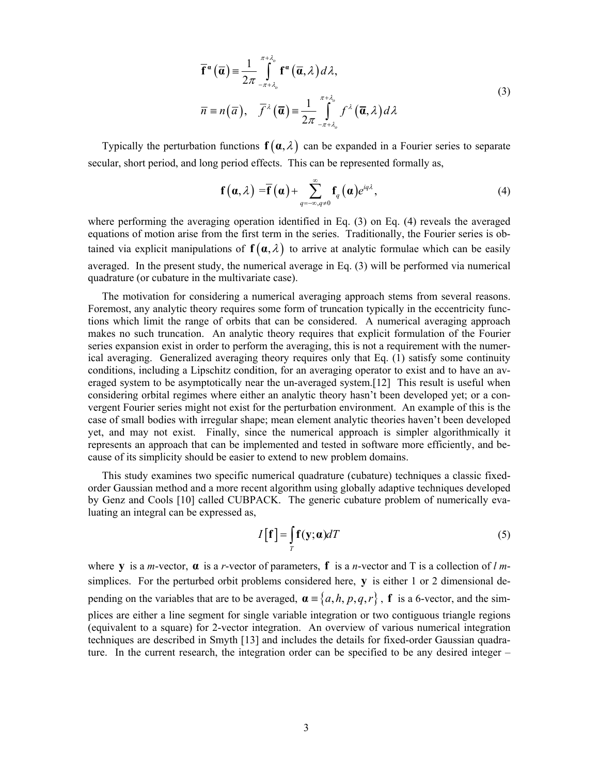$$
\overline{\mathbf{f}}^{a}(\overline{\mathbf{a}}) = \frac{1}{2\pi} \int_{-\pi+\lambda_{o}}^{\pi+\lambda_{o}} \mathbf{f}^{a}(\overline{\mathbf{a}},\lambda) d\lambda,
$$
\n
$$
\overline{n} = n(\overline{a}), \quad \overline{f}^{\lambda}(\overline{\mathbf{a}}) = \frac{1}{2\pi} \int_{-\pi+\lambda_{o}}^{\pi+\lambda_{o}} f^{\lambda}(\overline{\mathbf{a}},\lambda) d\lambda
$$
\n(3)

<span id="page-2-1"></span><span id="page-2-0"></span>Typically the perturbation functions  $f(\alpha, \lambda)$  can be expanded in a Fourier series to separate secular, short period, and long period effects. This can be represented formally as,

$$
\mathbf{f}(\boldsymbol{\alpha},\lambda)=\overline{\mathbf{f}}(\boldsymbol{\alpha})+\sum_{q=-\infty,q\neq 0}^{\infty}\mathbf{f}_{q}(\boldsymbol{\alpha})e^{iq\lambda},
$$
\n(4)

where performing the averaging operation identified in Eq. [\(3\)](#page-2-0) on Eq. [\(4\)](#page-2-1) reveals the averaged equations of motion arise from the first term in the series. Traditionally, the Fourier series is obtained via explicit manipulations of  $f(\alpha, \lambda)$  to arrive at analytic formulae which can be easily averaged. In the present study, the numerical average in Eq. [\(3\)](#page-2-0) will be performed via numerical quadrature (or cubature in the multivariate case).

The motivation for considering a numerical averaging approach stems from several reasons. Foremost, any analytic theory requires some form of truncation typically in the eccentricity functions which limit the range of orbits that can be considered. A numerical averaging approach makes no such truncation. An analytic theory requires that explicit formulation of the Fourier series expansion exist in order to perform the averaging, this is not a requirement with the numerical averaging. Generalized averaging theory requires only that Eq. [\(1\)](#page-1-0) satisfy some continuity conditions, including a Lipschitz condition, for an averaging operator to exist and to have an averaged system to be asymptotically near the un-averaged system.[12] This result is useful when considering orbital regimes where either an analytic theory hasn't been developed yet; or a convergent Fourier series might not exist for the perturbation environment. An example of this is the case of small bodies with irregular shape; mean element analytic theories haven't been developed yet, and may not exist. Finally, since the numerical approach is simpler algorithmically it represents an approach that can be implemented and tested in software more efficiently, and because of its simplicity should be easier to extend to new problem domains.

This study examines two specific numerical quadrature (cubature) techniques a classic fixedorder Gaussian method and a more recent algorithm using globally adaptive techniques developed by Genz and Cools [10] called CUBPACK. The generic cubature problem of numerically evaluating an integral can be expressed as,

$$
I[\mathbf{f}] = \int_{T} \mathbf{f}(\mathbf{y}; \boldsymbol{\alpha}) dT \tag{5}
$$

where **y** is a *m*-vector,  $\alpha$  is a *r*-vector of parameters, **f** is a *n*-vector and T is a collection of *l m*simplices. For the perturbed orbit problems considered here, **y** is either 1 or 2 dimensional depending on the variables that are to be averaged,  $\mathbf{a} \equiv \{a, h, p, q, r\}$ , **f** is a 6-vector, and the simplices are either a line segment for single variable integration or two contiguous triangle regions (equivalent to a square) for 2-vector integration. An overview of various numerical integration techniques are described in Smyth [13] and includes the details for fixed-order Gaussian quadrature. In the current research, the integration order can be specified to be any desired integer –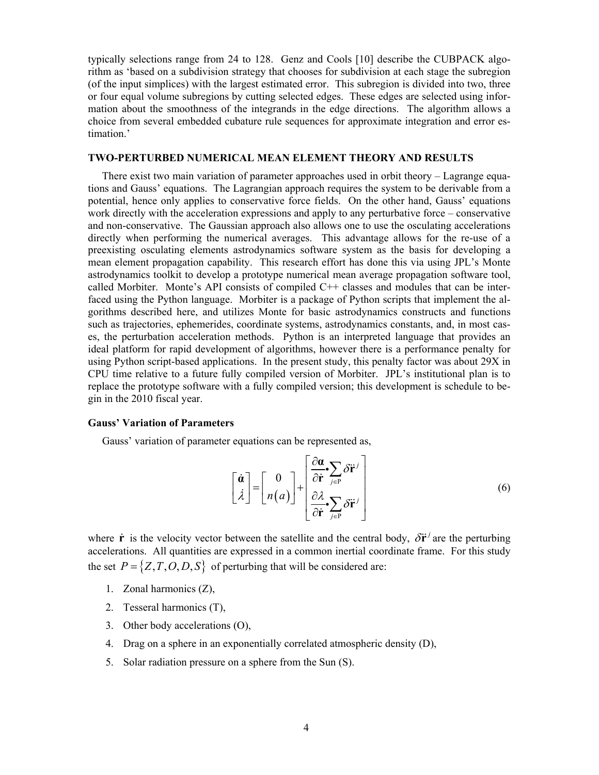typically selections range from 24 to 128. Genz and Cools [10] describe the CUBPACK algorithm as 'based on a subdivision strategy that chooses for subdivision at each stage the subregion (of the input simplices) with the largest estimated error. This subregion is divided into two, three or four equal volume subregions by cutting selected edges. These edges are selected using information about the smoothness of the integrands in the edge directions. The algorithm allows a choice from several embedded cubature rule sequences for approximate integration and error estimation.'

#### **TWO-PERTURBED NUMERICAL MEAN ELEMENT THEORY AND RESULTS**

There exist two main variation of parameter approaches used in orbit theory – Lagrange equations and Gauss' equations. The Lagrangian approach requires the system to be derivable from a potential, hence only applies to conservative force fields. On the other hand, Gauss' equations work directly with the acceleration expressions and apply to any perturbative force – conservative and non-conservative. The Gaussian approach also allows one to use the osculating accelerations directly when performing the numerical averages. This advantage allows for the re-use of a preexisting osculating elements astrodynamics software system as the basis for developing a mean element propagation capability. This research effort has done this via using JPL's Monte astrodynamics toolkit to develop a prototype numerical mean average propagation software tool, called Morbiter. Monte's API consists of compiled  $C++$  classes and modules that can be interfaced using the Python language. Morbiter is a package of Python scripts that implement the algorithms described here, and utilizes Monte for basic astrodynamics constructs and functions such as trajectories, ephemerides, coordinate systems, astrodynamics constants, and, in most cases, the perturbation acceleration methods. Python is an interpreted language that provides an ideal platform for rapid development of algorithms, however there is a performance penalty for using Python script-based applications. In the present study, this penalty factor was about 29X in CPU time relative to a future fully compiled version of Morbiter. JPL's institutional plan is to replace the prototype software with a fully compiled version; this development is schedule to begin in the 2010 fiscal year.

#### <span id="page-3-0"></span>**Gauss' Variation of Parameters**

Gauss' variation of parameter equations can be represented as,

$$
\begin{bmatrix} \dot{\boldsymbol{a}} \\ \dot{\lambda} \end{bmatrix} = \begin{bmatrix} 0 \\ n(a) \end{bmatrix} + \begin{bmatrix} \frac{\partial \boldsymbol{a}}{\partial \dot{\mathbf{r}}} \cdot \sum_{j \in P} \delta \ddot{\mathbf{r}}^j \\ \frac{\partial \lambda}{\partial \dot{\mathbf{r}}} \cdot \sum_{j \in P} \delta \ddot{\mathbf{r}}^j \end{bmatrix}
$$
(6)

where **r** is the velocity vector between the satellite and the central body,  $\delta \ddot{\mathbf{r}}^j$  are the perturbing accelerations. All quantities are expressed in a common inertial coordinate frame. For this study the set  $P = \{Z, T, O, D, S\}$  of perturbing that will be considered are:

- 1. Zonal harmonics (Z),
- 2. Tesseral harmonics (T),
- 3. Other body accelerations (O),
- 4. Drag on a sphere in an exponentially correlated atmospheric density (D),
- 5. Solar radiation pressure on a sphere from the Sun (S).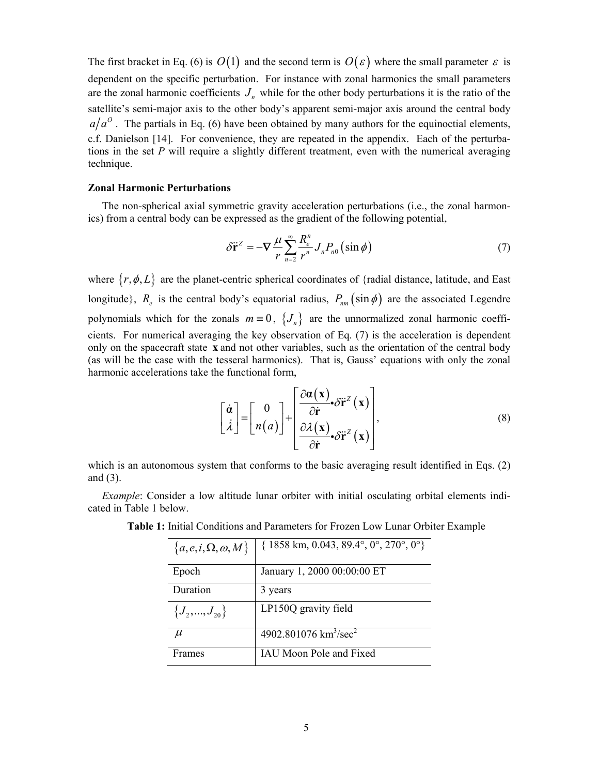The first bracket in Eq. [\(6\)](#page-3-0) is  $O(1)$  and the second term is  $O(\varepsilon)$  where the small parameter  $\varepsilon$  is dependent on the specific perturbation. For instance with zonal harmonics the small parameters are the zonal harmonic coefficients  $J<sub>n</sub>$  while for the other body perturbations it is the ratio of the satellite's semi-major axis to the other body's apparent semi-major axis around the central body  $a/a<sup>o</sup>$ . The partials in Eq. [\(6\)](#page-3-0) have been obtained by many authors for the equinoctial elements, c.f. Danielson [14]. For convenience, they are repeated in the appendix. Each of the perturbations in the set *P* will require a slightly different treatment, even with the numerical averaging technique.

## **Zonal Harmonic Perturbations**

<span id="page-4-0"></span>The non-spherical axial symmetric gravity acceleration perturbations (i.e., the zonal harmonics) from a central body can be expressed as the gradient of the following potential,

$$
\delta \ddot{\mathbf{r}}^Z = -\nabla \frac{\mu}{r} \sum_{n=2}^{\infty} \frac{R_e^n}{r^n} J_n P_{n0} (\sin \phi) \tag{7}
$$

where  $\{r, \phi, L\}$  are the planet-centric spherical coordinates of {radial distance, latitude, and East longitude},  $R_e$  is the central body's equatorial radius,  $P_{nm}(\sin \phi)$  are the associated Legendre polynomials which for the zonals  $m \equiv 0$ ,  $\{J_n\}$  are the unnormalized zonal harmonic coefficients. For numerical averaging the key observation of Eq. [\(7\)](#page-4-0) is the acceleration is dependent only on the spacecraft state **x** and not other variables, such as the orientation of the central body (as will be the case with the tesseral harmonics). That is, Gauss' equations with only the zonal harmonic accelerations take the functional form,

$$
\begin{bmatrix} \dot{\boldsymbol{\alpha}} \\ \dot{\lambda} \end{bmatrix} = \begin{bmatrix} 0 \\ n(a) \end{bmatrix} + \begin{bmatrix} \frac{\partial \boldsymbol{\alpha}(\mathbf{x})}{\partial \dot{\mathbf{r}}} \cdot \delta \ddot{\mathbf{r}}^z(\mathbf{x}) \\ \frac{\partial \lambda(\mathbf{x})}{\partial \dot{\mathbf{r}}} \cdot \delta \ddot{\mathbf{r}}^z(\mathbf{x}) \end{bmatrix},
$$
(8)

which is an autonomous system that conforms to the basic averaging result identified in Eqs. [\(2\)](#page-1-1) and [\(3\).](#page-2-0)

<span id="page-4-1"></span>*Example*: Consider a low altitude lunar orbiter with initial osculating orbital elements indicated in [Table 1](#page-4-1) below.

| ${a, e, i, \Omega, \omega, M}$ | $\{1858 \text{ km}, 0.043, 89.4^{\circ}, 0^{\circ}, 270^{\circ}, 0^{\circ}\}$ |
|--------------------------------|-------------------------------------------------------------------------------|
| Epoch                          | January 1, 2000 00:00:00 ET                                                   |
| Duration                       | 3 years                                                                       |
| $\{J_2, , J_{20}\}\$           | LP150Q gravity field                                                          |
| $\mu$                          | 4902.801076 $km^3/sec^2$                                                      |
| Frames                         | IAU Moon Pole and Fixed                                                       |

**Table 1:** Initial Conditions and Parameters for Frozen Low Lunar Orbiter Example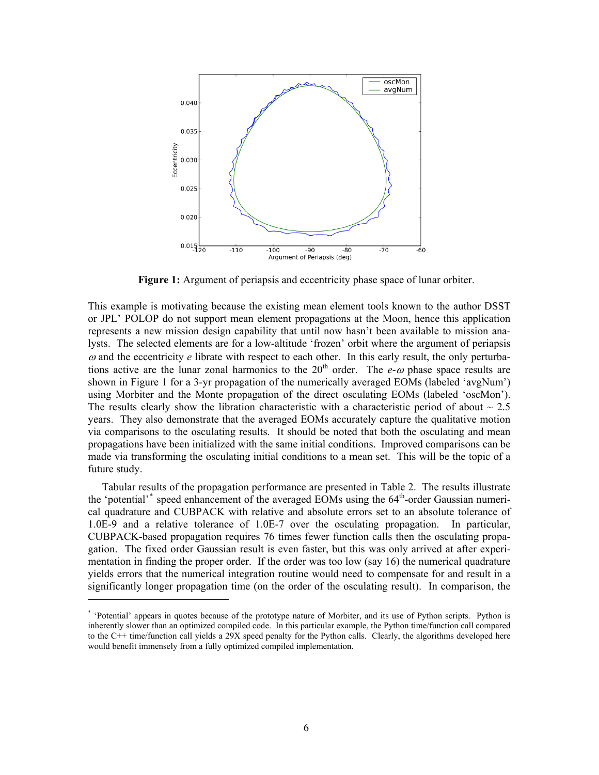

Figure 1: Argument of periapsis and eccentricity phase space of lunar orbiter.

<span id="page-5-0"></span>This example is motivating because the existing mean element tools known to the author DSST or JPL' POLOP do not support mean element propagations at the Moon, hence this application represents a new mission design capability that until now hasn't been available to mission analysts. The selected elements are for a low-altitude 'frozen' orbit where the argument of periapsis  $\omega$  and the eccentricity  $e$  librate with respect to each other. In this early result, the only perturbations active are the lunar zonal harmonics to the  $20<sup>th</sup>$  order. The *e-* $\omega$  phase space results are shown in [Figure 1](#page-5-0) for a 3-yr propagation of the numerically averaged EOMs (labeled 'avgNum') using Morbiter and the Monte propagation of the direct osculating EOMs (labeled 'oscMon'). The results clearly show the libration characteristic with a characteristic period of about  $\sim 2.5$ years. They also demonstrate that the averaged EOMs accurately capture the qualitative motion via comparisons to the osculating results. It should be noted that both the osculating and mean propagations have been initialized with the same initial conditions. Improved comparisons can be made via transforming the osculating initial conditions to a mean set. This will be the topic of a future study.

Tabular results of the propagation performance are presented in [Table 2.](#page-6-0) The results illustrate the 'potential'<sup>[\\*](#page-5-1)</sup> speed enhancement of the averaged EOMs using the 64<sup>th</sup>-order Gaussian numerical quadrature and CUBPACK with relative and absolute errors set to an absolute tolerance of 1.0E-9 and a relative tolerance of 1.0E-7 over the osculating propagation. In particular, CUBPACK-based propagation requires 76 times fewer function calls then the osculating propagation. The fixed order Gaussian result is even faster, but this was only arrived at after experimentation in finding the proper order. If the order was too low (say 16) the numerical quadrature yields errors that the numerical integration routine would need to compensate for and result in a significantly longer propagation time (on the order of the osculating result). In comparison, the

1

<span id="page-5-1"></span><sup>\*</sup> 'Potential' appears in quotes because of the prototype nature of Morbiter, and its use of Python scripts. Python is inherently slower than an optimized compiled code. In this particular example, the Python time/function call compared to the C++ time/function call yields a 29X speed penalty for the Python calls. Clearly, the algorithms developed here would benefit immensely from a fully optimized compiled implementation.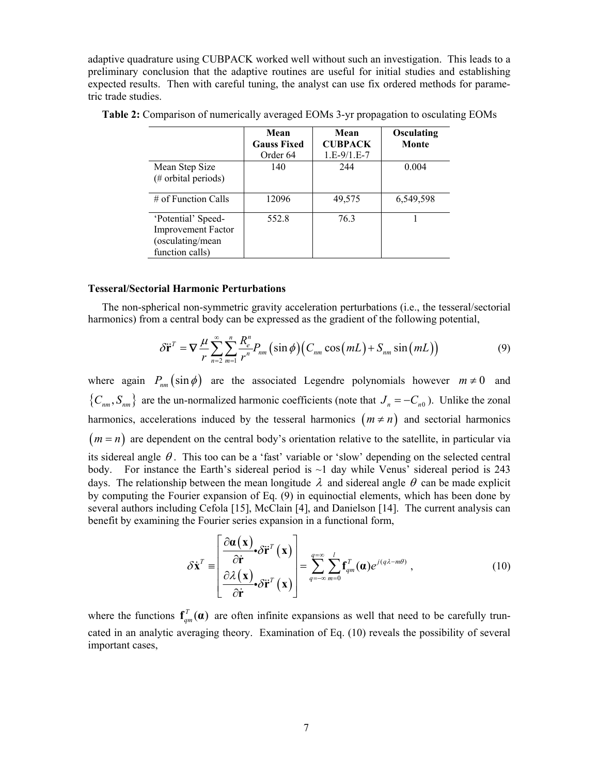adaptive quadrature using CUBPACK worked well without such an investigation. This leads to a preliminary conclusion that the adaptive routines are useful for initial studies and establishing expected results. Then with careful tuning, the analyst can use fix ordered methods for parametric trade studies.

|                                                                                         | Mean<br><b>Gauss Fixed</b><br>Order 64 | Mean<br><b>CUBPACK</b><br>$1.E-9/1.E-7$ | Osculating<br>Monte |
|-----------------------------------------------------------------------------------------|----------------------------------------|-----------------------------------------|---------------------|
| Mean Step Size<br>(# orbital periods)                                                   | 140                                    | 244                                     | 0.004               |
| $\#$ of Function Calls                                                                  | 12096                                  | 49,575                                  | 6,549,598           |
| 'Potential' Speed-<br><b>Improvement Factor</b><br>(osculating/mean)<br>function calls) | 552.8                                  | 76.3                                    |                     |

<span id="page-6-0"></span>**Table 2:** Comparison of numerically averaged EOMs 3-yr propagation to osculating EOMs

#### **Tesseral/Sectorial Harmonic Perturbations**

<span id="page-6-1"></span>The non-spherical non-symmetric gravity acceleration perturbations (i.e., the tesseral/sectorial harmonics) from a central body can be expressed as the gradient of the following potential,

$$
\delta \ddot{\mathbf{r}}^T = \nabla \frac{\mu}{r} \sum_{n=2}^{\infty} \sum_{m=1}^{n} \frac{R_e^n}{r^n} P_{nm} (\sin \phi) \big( C_{nm} \cos(mL) + S_{nm} \sin(mL) \big) \tag{9}
$$

where again  $P_{nm}(\sin \phi)$  are the associated Legendre polynomials however  $m \neq 0$  and  ${C_{nm}, S_{nm}}$  are the un-normalized harmonic coefficients (note that  $J_n = -C_{n0}$ ). Unlike the zonal harmonics, accelerations induced by the tesseral harmonics  $(m \neq n)$  and sectorial harmonics  $(m = n)$  are dependent on the central body's orientation relative to the satellite, in particular via its sidereal angle  $\theta$ . This too can be a 'fast' variable or 'slow' depending on the selected central body. For instance the Earth's sidereal period is  $\sim$ 1 day while Venus' sidereal period is 243 days. The relationship between the mean longitude  $\lambda$  and sidereal angle  $\theta$  can be made explicit by computing the Fourier expansion of Eq. [\(9\)](#page-6-1) in equinoctial elements, which has been done by several authors including Cefola [15], McClain [4], and Danielson [14]. The current analysis can benefit by examining the Fourier series expansion in a functional form,

$$
\delta \dot{\mathbf{x}}^{T} = \begin{bmatrix} \frac{\partial \boldsymbol{\alpha}(\mathbf{x})}{\partial \dot{\mathbf{r}}} \cdot \delta \ddot{\mathbf{r}}^{T}(\mathbf{x}) \\ \frac{\partial \lambda(\mathbf{x})}{\partial \dot{\mathbf{r}}} \cdot \delta \ddot{\mathbf{r}}^{T}(\mathbf{x}) \end{bmatrix} = \sum_{q=-\infty}^{q=\infty} \sum_{m=0}^{l} \mathbf{f}_{qm}^{T}(\boldsymbol{\alpha}) e^{j(q\lambda - m\theta)}, \qquad (10)
$$

<span id="page-6-2"></span>where the functions  $f_{qm}^T(\boldsymbol{\alpha})$  are often infinite expansions as well that need to be carefully truncated in an analytic averaging theory. Examination of Eq. [\(10\)](#page-6-2) reveals the possibility of several important cases,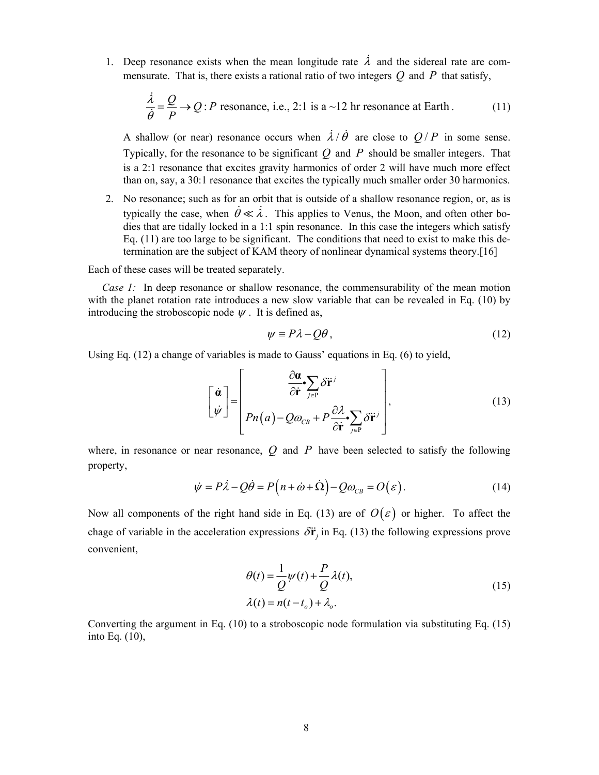<span id="page-7-0"></span>1. Deep resonance exists when the mean longitude rate  $\lambda$  and the sidereal rate are commensurate. That is, there exists a rational ratio of two integers  $Q$  and  $P$  that satisfy,

$$
\frac{\dot{\lambda}}{\dot{\theta}} = \frac{Q}{P} \rightarrow Q : P \text{ resonance, i.e., 2:1 is a } \sim 12 \text{ hr resonance at Earth.}
$$
 (11)

A shallow (or near) resonance occurs when  $\lambda/\dot{\theta}$  are close to  $Q/P$  in some sense. Typically, for the resonance to be significant  $Q$  and  $P$  should be smaller integers. That is a 2:1 resonance that excites gravity harmonics of order 2 will have much more effect than on, say, a 30:1 resonance that excites the typically much smaller order 30 harmonics.

2. No resonance; such as for an orbit that is outside of a shallow resonance region, or, as is typically the case, when  $\dot{\theta} \ll \lambda$ . This applies to Venus, the Moon, and often other bodies that are tidally locked in a 1:1 spin resonance. In this case the integers which satisfy Eq. [\(11\)](#page-7-0) are too large to be significant. The conditions that need to exist to make this determination are the subject of KAM theory of nonlinear dynamical systems theory.[16]

Each of these cases will be treated separately.

*Case 1:* In deep resonance or shallow resonance, the commensurability of the mean motion with the planet rotation rate introduces a new slow variable that can be revealed in Eq. [\(10\)](#page-6-2) by introducing the stroboscopic node  $\psi$ . It is defined as,

$$
\psi \equiv P\lambda - Q\theta, \qquad (12)
$$

<span id="page-7-2"></span><span id="page-7-1"></span>Using Eq. [\(12\)](#page-7-1) a change of variables is made to Gauss' equations in Eq. [\(6\)](#page-3-0) to yield,

$$
\begin{bmatrix} \dot{\boldsymbol{\alpha}} \\ \dot{\boldsymbol{\psi}} \end{bmatrix} = \begin{bmatrix} \frac{\partial \boldsymbol{\alpha}}{\partial \dot{\mathbf{r}}} \cdot \sum_{j \in P} \delta \ddot{\mathbf{r}}^j \\ P n(a) - Q \omega_{CB} + P \frac{\partial \lambda}{\partial \dot{\mathbf{r}}} \cdot \sum_{j \in P} \delta \ddot{\mathbf{r}}^j \end{bmatrix},
$$
(13)

where, in resonance or near resonance,  $Q$  and  $P$  have been selected to satisfy the following property,

$$
\dot{\psi} = P\dot{\lambda} - Q\dot{\theta} = P\left(n + \dot{\omega} + \dot{\Omega}\right) - Q\omega_{CB} = O(\varepsilon).
$$
\n(14)

<span id="page-7-4"></span><span id="page-7-3"></span>Now all components of the right hand side in Eq. [\(13\)](#page-7-2) are of  $O(\varepsilon)$  or higher. To affect the chage of variable in the acceleration expressions  $\delta \ddot{\mathbf{r}}_i$  in Eq. [\(13\)](#page-7-2) the following expressions prove convenient,

$$
\theta(t) = \frac{1}{Q}\psi(t) + \frac{P}{Q}\lambda(t),
$$
  
\n
$$
\lambda(t) = n(t - t_o) + \lambda_o.
$$
\n(15)

Converting the argument in Eq. [\(10\)](#page-6-2) to a stroboscopic node formulation via substituting Eq. [\(15\)](#page-7-3) into Eq. [\(10\),](#page-6-2)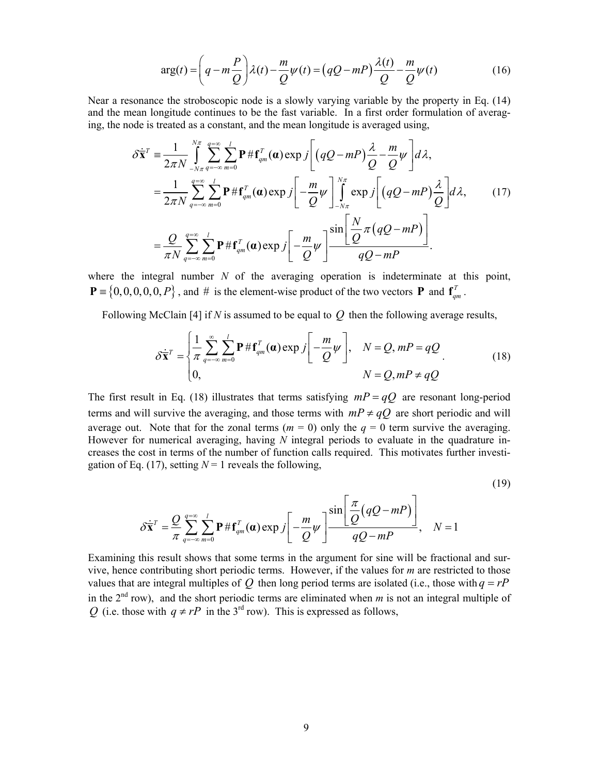$$
\arg(t) = \left(q - m\frac{P}{Q}\right)\lambda(t) - \frac{m}{Q}\psi(t) = \left(qQ - mP\right)\frac{\lambda(t)}{Q} - \frac{m}{Q}\psi(t)
$$
\n(16)

<span id="page-8-2"></span><span id="page-8-1"></span>Near a resonance the stroboscopic node is a slowly varying variable by the property in Eq. [\(14\)](#page-7-4) and the mean longitude continues to be the fast variable. In a first order formulation of averaging, the node is treated as a constant, and the mean longitude is averaged using,

$$
\delta \dot{\overline{\mathbf{x}}}^{T} = \frac{1}{2\pi N} \int_{-N\pi}^{N\pi} \sum_{q=-\infty}^{q=\infty} \sum_{m=0}^{l} \mathbf{P} \# \mathbf{f}_{qm}^{T}(\boldsymbol{\alpha}) \exp j \left[ (qQ - mP) \frac{\lambda}{Q} - \frac{m}{Q} \psi \right] d\lambda,
$$
  
\n
$$
= \frac{1}{2\pi N} \sum_{q=-\infty}^{q=\infty} \sum_{m=0}^{l} \mathbf{P} \# \mathbf{f}_{qm}^{T}(\boldsymbol{\alpha}) \exp j \left[ -\frac{m}{Q} \psi \right] \int_{-N\pi}^{N\pi} \exp j \left[ (qQ - mP) \frac{\lambda}{Q} \right] d\lambda,
$$
 (17)  
\n
$$
= \frac{Q}{\pi N} \sum_{q=-\infty}^{q=\infty} \sum_{m=0}^{l} \mathbf{P} \# \mathbf{f}_{qm}^{T}(\boldsymbol{\alpha}) \exp j \left[ -\frac{m}{Q} \psi \right] \frac{\sin \left[ \frac{N}{Q} \pi (qQ - mP) \right]}{qQ - mP}.
$$

where the integral number *N* of the averaging operation is indeterminate at this point,  $P = \{0, 0, 0, 0, 0, P\}$ , and # is the element-wise product of the two vectors **P** and  $f_{qm}^T$ .

<span id="page-8-0"></span>Following McClain [4] if *N* is assumed to be equal to *Q* then the following average results,

$$
\delta \dot{\overline{\mathbf{x}}}^{T} = \begin{cases} \frac{1}{\pi} \sum_{q=-\infty}^{\infty} \sum_{m=0}^{l} \mathbf{P} \# \mathbf{f}_{qm}^{T}(\boldsymbol{\alpha}) \exp j \left[ -\frac{m}{Q} \psi \right], & N = Q, mP = qQ\\ 0, & N = Q, mP \neq qQ \end{cases}
$$
(18)

The first result in Eq. [\(18\)](#page-8-0) illustrates that terms satisfying  $mP = qQ$  are resonant long-period terms and will survive the averaging, and those terms with  $mP \neq qQ$  are short periodic and will average out. Note that for the zonal terms ( $m = 0$ ) only the  $q = 0$  term survive the averaging. However for numerical averaging, having *N* integral periods to evaluate in the quadrature increases the cost in terms of the number of function calls required. This motivates further investi-gation of Eq. [\(17\)](#page-8-1), setting  $N = 1$  reveals the following,

(19)

$$
\delta \dot{\bar{\mathbf{x}}}^T = \frac{Q}{\pi} \sum_{q=-\infty}^{q=\infty} \sum_{m=0}^l \mathbf{P} \# \mathbf{f}_{qm}^T(\boldsymbol{\alpha}) \exp j \left[ -\frac{m}{Q} \psi \right] \frac{\sin \left[ \frac{\pi}{Q} (qQ - mP) \right]}{qQ - mP}, \quad N = 1
$$

Examining this result shows that some terms in the argument for sine will be fractional and survive, hence contributing short periodic terms. However, if the values for *m* are restricted to those values that are integral multiples of  $Q$  then long period terms are isolated (i.e., those with  $q = rP$ in the  $2<sup>nd</sup>$  row), and the short periodic terms are eliminated when *m* is not an integral multiple of *Q* (i.e. those with  $q \neq rP$  in the 3<sup>rd</sup> row). This is expressed as follows,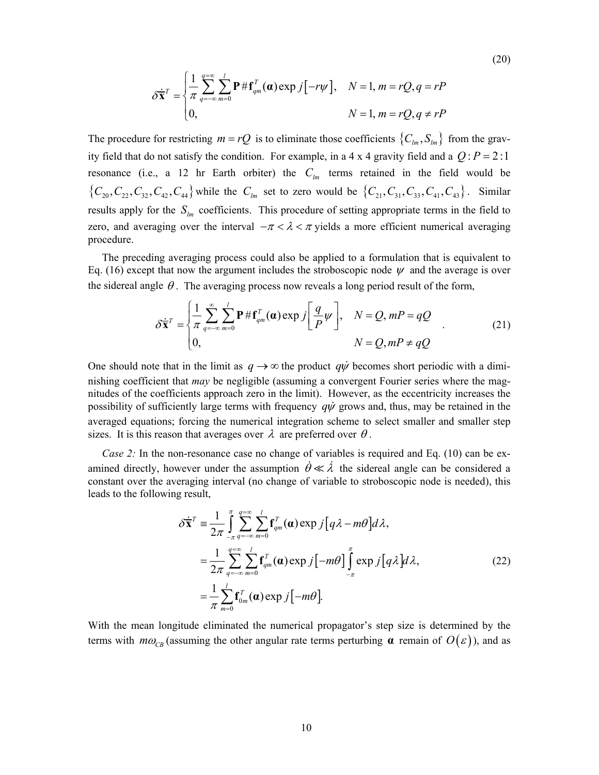$$
\delta \dot{\overline{\mathbf{x}}}^{T} = \begin{cases} \frac{1}{\pi} \sum_{q=-\infty}^{q=\infty} \sum_{m=0}^{l} \mathbf{P} \# \mathbf{f}_{qm}^{T}(\boldsymbol{\alpha}) \exp j[-r\psi], & N=1, m=rQ, q=rP\\ 0, & N=1, m=rQ, q \neq rP \end{cases}
$$

(20)

The procedure for restricting  $m = rQ$  is to eliminate those coefficients  $\{C_{lm}, S_{lm}\}\$  from the gravity field that do not satisfy the condition. For example, in a 4 x 4 gravity field and a  $Q$ :  $P = 2$ : 1 resonance (i.e., a 12 hr Earth orbiter) the  $C_{lm}$  terms retained in the field would be  ${C_{20}, C_{22}, C_{32}, C_{42}, C_{44}}$  while the  $C_{lm}$  set to zero would be  ${C_{21}, C_{31}, C_{33}, C_{41}, C_{43}}$ . Similar results apply for the  $S_{lm}$  coefficients. This procedure of setting appropriate terms in the field to zero, and averaging over the interval  $-\pi < \lambda < \pi$  yields a more efficient numerical averaging procedure.

The preceding averaging process could also be applied to a formulation that is equivalent to Eq. [\(16\)](#page-8-2) except that now the argument includes the stroboscopic node  $\psi$  and the average is over the sidereal angle  $\theta$ . The averaging process now reveals a long period result of the form,

$$
\delta \dot{\bar{\mathbf{x}}}^{T} = \begin{cases} \frac{1}{\pi} \sum_{q=-\infty}^{\infty} \sum_{m=0}^{l} \mathbf{P} \# \mathbf{f}_{qm}^{T}(\boldsymbol{\alpha}) \exp j\left[\frac{q}{P}\psi\right], & N = Q, mP = qQ\\ 0, & N = Q, mP \neq qQ \end{cases}
$$
(21)

One should note that in the limit as  $q \rightarrow \infty$  the product *q* $\psi$  becomes short periodic with a diminishing coefficient that *may* be negligible (assuming a convergent Fourier series where the magnitudes of the coefficients approach zero in the limit). However, as the eccentricity increases the possibility of sufficiently large terms with frequency *q*ψ grows and, thus, may be retained in the averaged equations; forcing the numerical integration scheme to select smaller and smaller step sizes. It is this reason that averages over  $\lambda$  are preferred over  $\theta$ .

<span id="page-9-0"></span>*Case 2:* In the non-resonance case no change of variables is required and Eq. [\(10\)](#page-6-2) can be examined directly, however under the assumption  $\theta \ll \lambda$  the sidereal angle can be considered a constant over the averaging interval (no change of variable to stroboscopic node is needed), this leads to the following result,

$$
\delta \dot{\bar{\mathbf{x}}}^{T} = \frac{1}{2\pi} \int_{-\pi}^{\pi} \sum_{q=-\infty}^{q=\infty} \sum_{m=0}^{l} \mathbf{f}_{qm}^{T}(\boldsymbol{a}) \exp j[q\lambda - m\theta] d\lambda,
$$
  
\n
$$
= \frac{1}{2\pi} \sum_{q=-\infty}^{q=\infty} \sum_{m=0}^{l} \mathbf{f}_{qm}^{T}(\boldsymbol{a}) \exp j[-m\theta] \int_{-\pi}^{\pi} \exp j[q\lambda] d\lambda,
$$
  
\n
$$
= \frac{1}{\pi} \sum_{m=0}^{l} \mathbf{f}_{0m}^{T}(\boldsymbol{a}) \exp j[-m\theta].
$$
 (22)

With the mean longitude eliminated the numerical propagator's step size is determined by the terms with  $m\omega_{CR}$  (assuming the other angular rate terms perturbing  $\alpha$  remain of  $O(\varepsilon)$ ), and as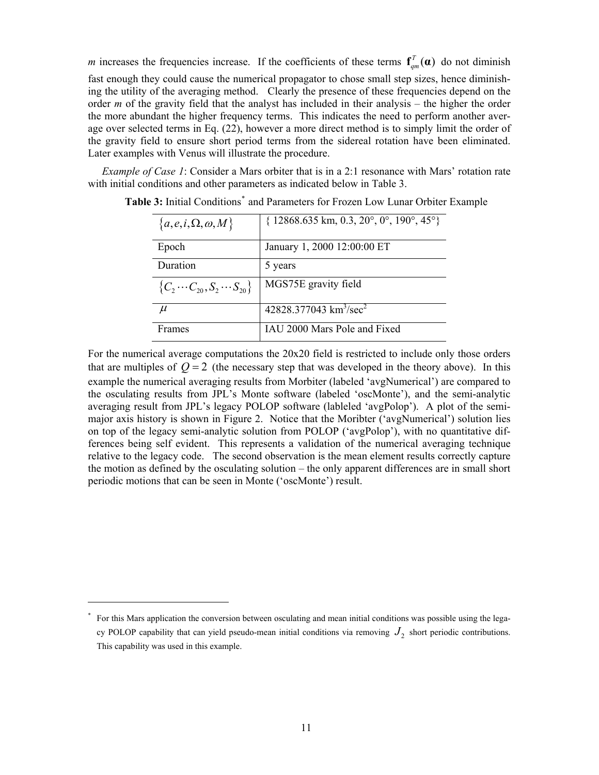*m* increases the frequencies increase. If the coefficients of these terms  $f_{qm}^T(\alpha)$  do not diminish fast enough they could cause the numerical propagator to chose small step sizes, hence diminishing the utility of the averaging method. Clearly the presence of these frequencies depend on the order *m* of the gravity field that the analyst has included in their analysis – the higher the order the more abundant the higher frequency terms. This indicates the need to perform another average over selected terms in Eq. [\(22\),](#page-9-0) however a more direct method is to simply limit the order of the gravity field to ensure short period terms from the sidereal rotation have been eliminated. Later examples with Venus will illustrate the procedure.

<span id="page-10-0"></span>*Example of Case 1*: Consider a Mars orbiter that is in a 2:1 resonance with Mars' rotation rate with initial conditions and other parameters as indicated below in [Table 3](#page-10-0).

| ${a, e, i, \Omega, \omega, M}$           | $\{12868.635 \text{ km}, 0.3, 20^{\circ}, 0^{\circ}, 190^{\circ}, 45^{\circ}\}\$ |
|------------------------------------------|----------------------------------------------------------------------------------|
| Epoch                                    | January 1, 2000 12:00:00 ET                                                      |
| Duration                                 | 5 years                                                                          |
| ${C_2 \cdots C_{20}, S_2 \cdots S_{20}}$ | MGS75E gravity field                                                             |
| $\mu$                                    | 42828.377043 $km^3/sec^2$                                                        |
| Frames                                   | IAU 2000 Mars Pole and Fixed                                                     |

Table 3: Initial Conditions<sup>[\\*](#page-10-1)</sup> and Parameters for Frozen Low Lunar Orbiter Example

For the numerical average computations the 20x20 field is restricted to include only those orders that are multiples of  $Q = 2$  (the necessary step that was developed in the theory above). In this example the numerical averaging results from Morbiter (labeled 'avgNumerical') are compared to the osculating results from JPL's Monte software (labeled 'oscMonte'), and the semi-analytic averaging result from JPL's legacy POLOP software (lableled 'avgPolop'). A plot of the semimajor axis history is shown in [Figure 2](#page-11-0). Notice that the Moribter ('avgNumerical') solution lies on top of the legacy semi-analytic solution from POLOP ('avgPolop'), with no quantitative differences being self evident. This represents a validation of the numerical averaging technique relative to the legacy code. The second observation is the mean element results correctly capture the motion as defined by the osculating solution – the only apparent differences are in small short periodic motions that can be seen in Monte ('oscMonte') result.

 $\overline{a}$ 

<span id="page-10-1"></span><sup>\*</sup> For this Mars application the conversion between osculating and mean initial conditions was possible using the legacy POLOP capability that can yield pseudo-mean initial conditions via removing  $J_2$  short periodic contributions. This capability was used in this example.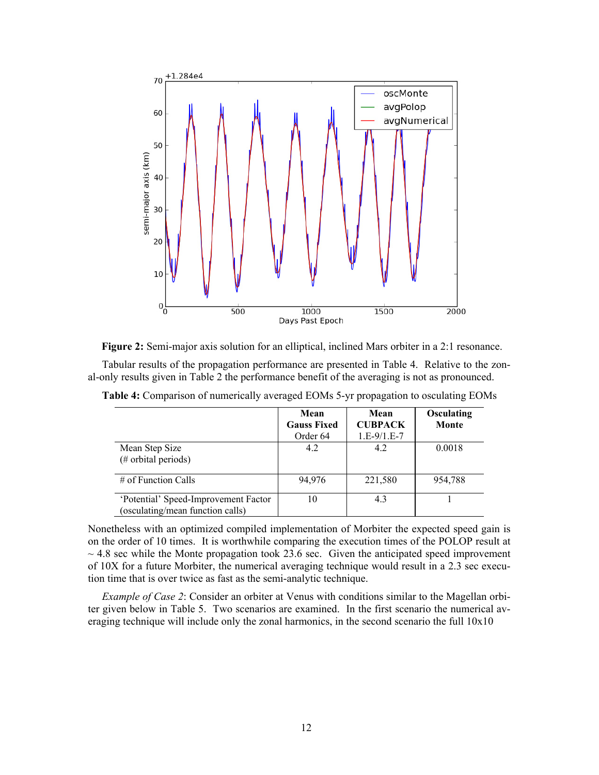

**Figure 2:** Semi-major axis solution for an elliptical, inclined Mars orbiter in a 2:1 resonance.

<span id="page-11-1"></span><span id="page-11-0"></span>Tabular results of the propagation performance are presented in [Table 4.](#page-11-1) Relative to the zonal-only results given in [Table 2](#page-6-0) the performance benefit of the averaging is not as pronounced.

|                                                                          | Mean<br><b>Gauss Fixed</b> | Mean<br><b>CUBPACK</b> | Osculating<br>Monte |
|--------------------------------------------------------------------------|----------------------------|------------------------|---------------------|
|                                                                          | Order 64                   | $1.E-9/1.E-7$          |                     |
| Mean Step Size<br>(# orbital periods)                                    | 4.2                        | 4.2                    | 0.0018              |
| $\#$ of Function Calls                                                   | 94,976                     | 221,580                | 954.788             |
| 'Potential' Speed-Improvement Factor<br>(osculating/mean function calls) | 10                         | 4.3                    |                     |

**Table 4:** Comparison of numerically averaged EOMs 5-yr propagation to osculating EOMs

Nonetheless with an optimized compiled implementation of Morbiter the expected speed gain is on the order of 10 times. It is worthwhile comparing the execution times of the POLOP result at  $\sim$  4.8 sec while the Monte propagation took 23.6 sec. Given the anticipated speed improvement of 10X for a future Morbiter, the numerical averaging technique would result in a 2.3 sec execution time that is over twice as fast as the semi-analytic technique.

*Example of Case 2*: Consider an orbiter at Venus with conditions similar to the Magellan orbiter given below in [Table 5](#page-12-0). Two scenarios are examined. In the first scenario the numerical averaging technique will include only the zonal harmonics, in the second scenario the full 10x10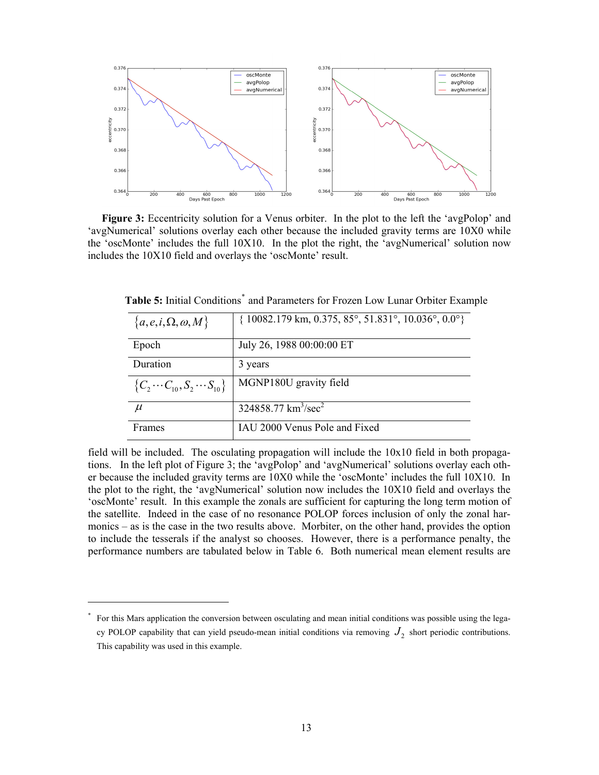

<span id="page-12-2"></span><span id="page-12-0"></span>**Figure 3:** Eccentricity solution for a Venus orbiter. In the plot to the left the 'avgPolop' and 'avgNumerical' solutions overlay each other because the included gravity terms are 10X0 while the 'oscMonte' includes the full 10X10. In the plot the right, the 'avgNumerical' solution now includes the 10X10 field and overlays the 'oscMonte' result.

| ${a, e, i, \Omega, \omega, M}$           | $\{10082.179 \text{ km}, 0.375, 85^\circ, 51.831^\circ, 10.036^\circ, 0.0^\circ\}$ |
|------------------------------------------|------------------------------------------------------------------------------------|
| Epoch                                    | July 26, 1988 00:00:00 ET                                                          |
| Duration                                 | 3 years                                                                            |
| ${C_2 \cdots C_{10}, S_2 \cdots S_{10}}$ | MGNP180U gravity field                                                             |
| $\mu$                                    | $324858.77 \text{ km}^3/\text{sec}^2$                                              |
| Frames                                   | IAU 2000 Venus Pole and Fixed                                                      |

Table 5: Initial Conditions<sup>[\\*](#page-12-1)</sup> and Parameters for Frozen Low Lunar Orbiter Example

field will be included. The osculating propagation will include the 10x10 field in both propagations. In the left plot of [Figure 3;](#page-12-2) the 'avgPolop' and 'avgNumerical' solutions overlay each other because the included gravity terms are 10X0 while the 'oscMonte' includes the full 10X10. In the plot to the right, the 'avgNumerical' solution now includes the 10X10 field and overlays the 'oscMonte' result. In this example the zonals are sufficient for capturing the long term motion of the satellite. Indeed in the case of no resonance POLOP forces inclusion of only the zonal harmonics – as is the case in the two results above. Morbiter, on the other hand, provides the option to include the tesserals if the analyst so chooses. However, there is a performance penalty, the performance numbers are tabulated below in [Table 6](#page-13-0). Both numerical mean element results are

 $\overline{a}$ 

<span id="page-12-1"></span><sup>\*</sup> For this Mars application the conversion between osculating and mean initial conditions was possible using the legacy POLOP capability that can yield pseudo-mean initial conditions via removing  $J_2$  short periodic contributions. This capability was used in this example.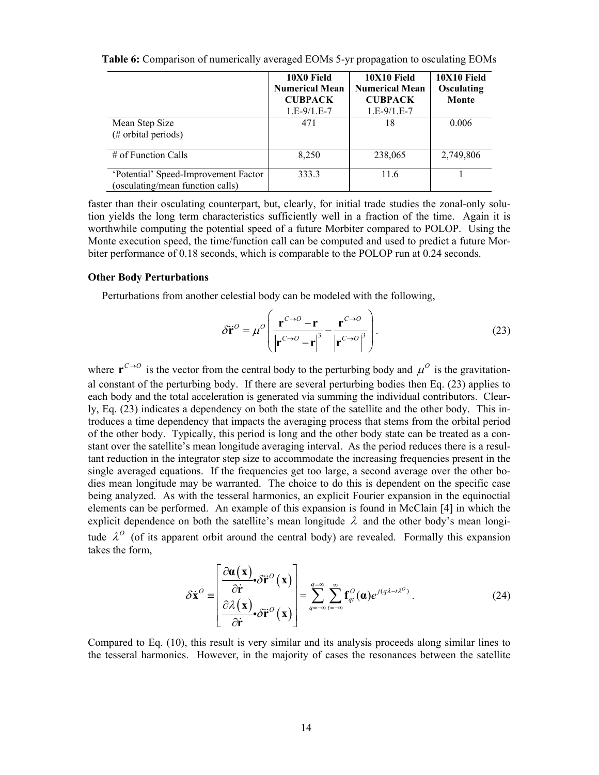|                                                                          | 10X0 Field<br><b>Numerical Mean</b><br><b>CUBPACK</b><br>$1.E-9/1.E-7$ | 10X10 Field<br><b>Numerical Mean</b><br><b>CUBPACK</b><br>$1.E-9/1.E-7$ | 10X10 Field<br>Osculating<br>Monte |
|--------------------------------------------------------------------------|------------------------------------------------------------------------|-------------------------------------------------------------------------|------------------------------------|
| Mean Step Size<br>(# orbital periods)                                    | 471                                                                    | 18                                                                      | 0.006                              |
| $\#$ of Function Calls                                                   | 8,250                                                                  | 238,065                                                                 | 2,749,806                          |
| 'Potential' Speed-Improvement Factor<br>(osculating/mean function calls) | 333.3                                                                  | 11.6                                                                    |                                    |

<span id="page-13-0"></span>**Table 6:** Comparison of numerically averaged EOMs 5-yr propagation to osculating EOMs

faster than their osculating counterpart, but, clearly, for initial trade studies the zonal-only solution yields the long term characteristics sufficiently well in a fraction of the time. Again it is worthwhile computing the potential speed of a future Morbiter compared to POLOP. Using the Monte execution speed, the time/function call can be computed and used to predict a future Morbiter performance of 0.18 seconds, which is comparable to the POLOP run at 0.24 seconds.

## <span id="page-13-1"></span>**Other Body Perturbations**

Perturbations from another celestial body can be modeled with the following,

$$
\delta \ddot{\mathbf{r}}^{\circ} = \mu^{\circ} \left( \frac{\mathbf{r}^{C \to 0} - \mathbf{r}}{\left| \mathbf{r}^{C \to 0} - \mathbf{r} \right|^{3}} - \frac{\mathbf{r}^{C \to 0}}{\left| \mathbf{r}^{C \to 0} \right|^{3}} \right). \tag{23}
$$

where  $\mathbf{r}^{C\to O}$  is the vector from the central body to the perturbing body and  $\mu^O$  is the gravitational constant of the perturbing body. If there are several perturbing bodies then Eq. [\(23\)](#page-13-1) applies to each body and the total acceleration is generated via summing the individual contributors. Clearly, Eq. [\(23\)](#page-13-1) indicates a dependency on both the state of the satellite and the other body. This introduces a time dependency that impacts the averaging process that stems from the orbital period of the other body. Typically, this period is long and the other body state can be treated as a constant over the satellite's mean longitude averaging interval. As the period reduces there is a resultant reduction in the integrator step size to accommodate the increasing frequencies present in the single averaged equations. If the frequencies get too large, a second average over the other bodies mean longitude may be warranted. The choice to do this is dependent on the specific case being analyzed. As with the tesseral harmonics, an explicit Fourier expansion in the equinoctial elements can be performed. An example of this expansion is found in McClain [4] in which the explicit dependence on both the satellite's mean longitude  $\lambda$  and the other body's mean longitude  $\lambda^0$  (of its apparent orbit around the central body) are revealed. Formally this expansion takes the form,

$$
\delta \dot{\mathbf{x}}^{\circ} = \begin{bmatrix} \frac{\partial \boldsymbol{\alpha}(\mathbf{x})}{\partial \dot{\mathbf{r}}} \cdot \delta \ddot{\mathbf{r}}^{\circ}(\mathbf{x}) \\ \frac{\partial \lambda(\mathbf{x})}{\partial \dot{\mathbf{r}}} \cdot \delta \ddot{\mathbf{r}}^{\circ}(\mathbf{x}) \end{bmatrix} = \sum_{q=-\infty}^{q=\infty} \sum_{l=-\infty}^{\infty} \mathbf{f}_{ql}^{\circ}(\boldsymbol{\alpha}) e^{j(q\lambda - t\lambda^{\circ})} . \tag{24}
$$

<span id="page-13-2"></span>Compared to Eq. [\(10\),](#page-6-2) this result is very similar and its analysis proceeds along similar lines to the tesseral harmonics. However, in the majority of cases the resonances between the satellite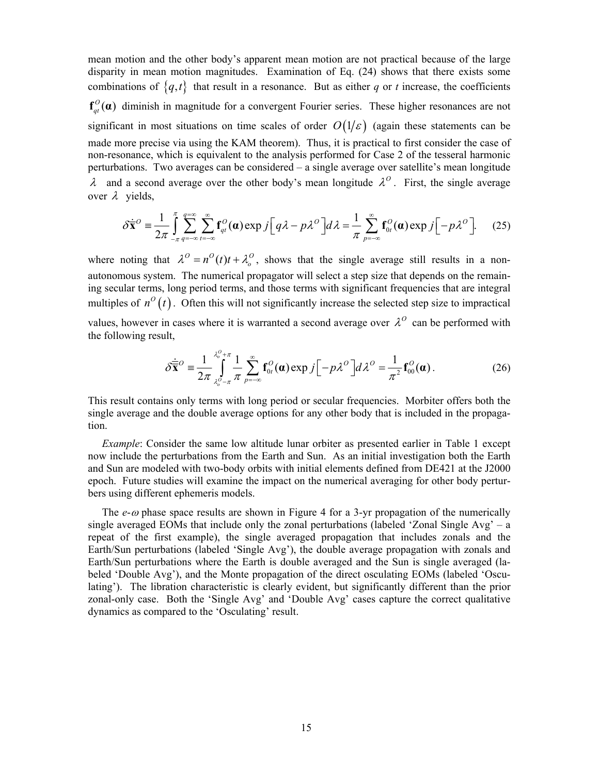mean motion and the other body's apparent mean motion are not practical because of the large disparity in mean motion magnitudes. Examination of Eq. [\(24\)](#page-13-2) shows that there exists some combinations of  ${q, t}$  that result in a resonance. But as either *q* or *t* increase, the coefficients  $f_{qt}^{O}(\boldsymbol{\alpha})$  diminish in magnitude for a convergent Fourier series. These higher resonances are not significant in most situations on time scales of order  $O(1/\varepsilon)$  (again these statements can be made more precise via using the KAM theorem). Thus, it is practical to first consider the case of non-resonance, which is equivalent to the analysis performed for Case 2 of the tesseral harmonic perturbations. Two averages can be considered – a single average over satellite's mean longitude  $\lambda$  and a second average over the other body's mean longitude  $\lambda^0$ . First, the single average over  $\lambda$  vields.

$$
\delta \dot{\overline{\mathbf{x}}}^{\circ} = \frac{1}{2\pi} \int_{-\pi}^{\pi} \sum_{q=-\infty}^{\infty} \sum_{t=-\infty}^{\infty} \mathbf{f}_{qt}^{\circ}(\mathbf{\alpha}) \exp j \Big[ q\lambda - p\lambda^{\circ} \Big] d\lambda = \frac{1}{\pi} \sum_{p=-\infty}^{\infty} \mathbf{f}_{0t}^{\circ}(\mathbf{\alpha}) \exp j \Big[ -p\lambda^{\circ} \Big]. \tag{25}
$$

where noting that  $\lambda^0 = n^0(t)t + \lambda_0^0$ , shows that the single average still results in a nonautonomous system. The numerical propagator will select a step size that depends on the remaining secular terms, long period terms, and those terms with significant frequencies that are integral multiples of  $n^{\circ}(t)$ . Often this will not significantly increase the selected step size to impractical

values, however in cases where it is warranted a second average over  $\lambda^0$  can be performed with the following result,

$$
\delta \dot{\overline{\mathbf{x}}}^O = \frac{1}{2\pi} \int_{\lambda_o^O - \pi}^{\lambda_o^O + \pi} \frac{1}{\pi} \sum_{p=-\infty}^{\infty} \mathbf{f}_{0t}^O(\mathbf{\alpha}) \exp j \Big[ -p\lambda^O \Big] d\lambda^O = \frac{1}{\pi^2} \mathbf{f}_{00}^O(\mathbf{\alpha}). \tag{26}
$$

This result contains only terms with long period or secular frequencies. Morbiter offers both the single average and the double average options for any other body that is included in the propagation.

*Example*: Consider the same low altitude lunar orbiter as presented earlier in [Table 1](#page-4-1) except now include the perturbations from the Earth and Sun. As an initial investigation both the Earth and Sun are modeled with two-body orbits with initial elements defined from DE421 at the J2000 epoch. Future studies will examine the impact on the numerical averaging for other body perturbers using different ephemeris models.

The *e-* $\omega$  phase space results are shown in [Figure 4](#page-15-0) for a 3-yr propagation of the numerically single averaged EOMs that include only the zonal perturbations (labeled 'Zonal Single Avg' – a repeat of the first example), the single averaged propagation that includes zonals and the Earth/Sun perturbations (labeled 'Single Avg'), the double average propagation with zonals and Earth/Sun perturbations where the Earth is double averaged and the Sun is single averaged (labeled 'Double Avg'), and the Monte propagation of the direct osculating EOMs (labeled 'Osculating'). The libration characteristic is clearly evident, but significantly different than the prior zonal-only case. Both the 'Single Avg' and 'Double Avg' cases capture the correct qualitative dynamics as compared to the 'Osculating' result.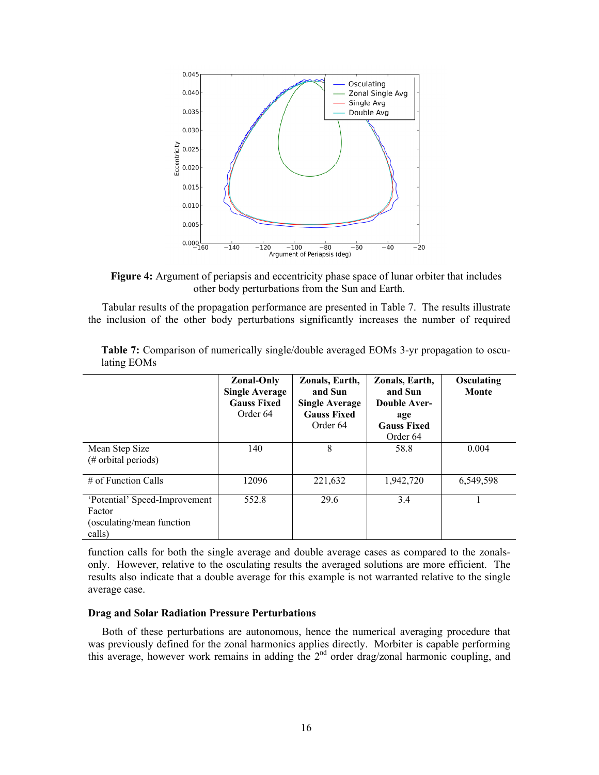

**Figure 4:** Argument of periapsis and eccentricity phase space of lunar orbiter that includes other body perturbations from the Sun and Earth.

<span id="page-15-0"></span>Tabular results of the propagation performance are presented in [Table 7.](#page-15-1) The results illustrate the inclusion of the other body perturbations significantly increases the number of required

<span id="page-15-1"></span>

|                                                                                | <b>Zonal-Only</b><br><b>Single Average</b><br><b>Gauss Fixed</b><br>Order 64 | Zonals, Earth,<br>and Sun<br><b>Single Average</b><br><b>Gauss Fixed</b><br>Order 64 | Zonals, Earth,<br>and Sun<br>Double Aver-<br>age<br><b>Gauss Fixed</b><br>Order 64 | Osculating<br>Monte |
|--------------------------------------------------------------------------------|------------------------------------------------------------------------------|--------------------------------------------------------------------------------------|------------------------------------------------------------------------------------|---------------------|
| Mean Step Size<br>$(\#$ orbital periods)                                       | 140                                                                          | 8                                                                                    | 58.8                                                                               | 0.004               |
| $\#$ of Function Calls                                                         | 12096                                                                        | 221,632                                                                              | 1,942,720                                                                          | 6,549,598           |
| 'Potential' Speed-Improvement<br>Factor<br>(osculating/mean function<br>calls) | 552.8                                                                        | 29.6                                                                                 | 3.4                                                                                |                     |

**Table 7:** Comparison of numerically single/double averaged EOMs 3-yr propagation to osculating EOMs

function calls for both the single average and double average cases as compared to the zonalsonly. However, relative to the osculating results the averaged solutions are more efficient. The results also indicate that a double average for this example is not warranted relative to the single average case.

## **Drag and Solar Radiation Pressure Perturbations**

Both of these perturbations are autonomous, hence the numerical averaging procedure that was previously defined for the zonal harmonics applies directly. Morbiter is capable performing this average, however work remains in adding the 2<sup>nd</sup> order drag/zonal harmonic coupling, and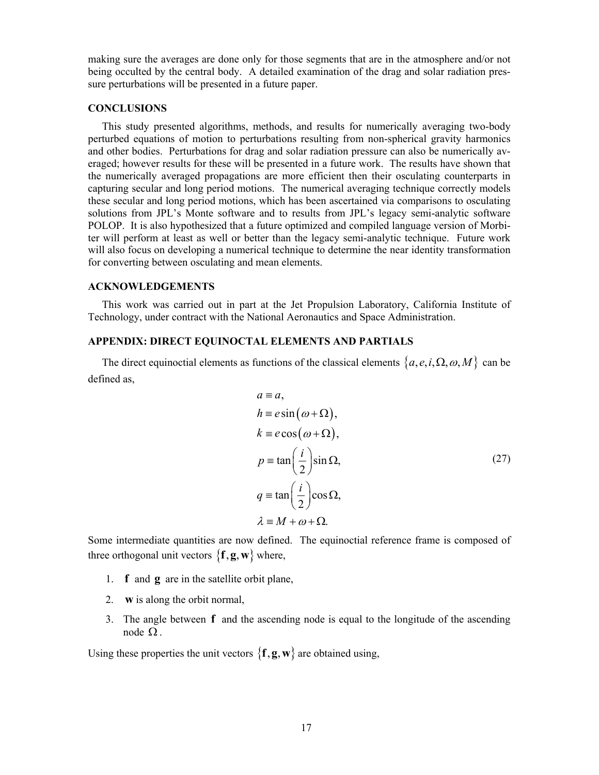making sure the averages are done only for those segments that are in the atmosphere and/or not being occulted by the central body. A detailed examination of the drag and solar radiation pressure perturbations will be presented in a future paper.

#### **CONCLUSIONS**

This study presented algorithms, methods, and results for numerically averaging two-body perturbed equations of motion to perturbations resulting from non-spherical gravity harmonics and other bodies. Perturbations for drag and solar radiation pressure can also be numerically averaged; however results for these will be presented in a future work. The results have shown that the numerically averaged propagations are more efficient then their osculating counterparts in capturing secular and long period motions. The numerical averaging technique correctly models these secular and long period motions, which has been ascertained via comparisons to osculating solutions from JPL's Monte software and to results from JPL's legacy semi-analytic software POLOP. It is also hypothesized that a future optimized and compiled language version of Morbiter will perform at least as well or better than the legacy semi-analytic technique. Future work will also focus on developing a numerical technique to determine the near identity transformation for converting between osculating and mean elements.

## **ACKNOWLEDGEMENTS**

This work was carried out in part at the Jet Propulsion Laboratory, California Institute of Technology, under contract with the National Aeronautics and Space Administration.

#### **APPENDIX: DIRECT EQUINOCTAL ELEMENTS AND PARTIALS**

The direct equinoctial elements as functions of the classical elements  $\{a, e, i, \Omega, \omega, M\}$  can be defined as,

$$
a \equiv a,
$$
  
\n
$$
h \equiv e \sin(\omega + \Omega),
$$
  
\n
$$
k \equiv e \cos(\omega + \Omega),
$$
  
\n
$$
p \equiv \tan\left(\frac{i}{2}\right) \sin \Omega,
$$
  
\n
$$
q \equiv \tan\left(\frac{i}{2}\right) \cos \Omega,
$$
  
\n
$$
\lambda \equiv M + \omega + \Omega.
$$
  
\n(27)

Some intermediate quantities are now defined. The equinoctial reference frame is composed of three orthogonal unit vectors  $\{f, g, w\}$  where,

- 1. **f** and **g** are in the satellite orbit plane,
- 2. **w** is along the orbit normal,
- 3. The angle between **f** and the ascending node is equal to the longitude of the ascending node  $Ω$ .

Using these properties the unit vectors  $\{f, g, w\}$  are obtained using,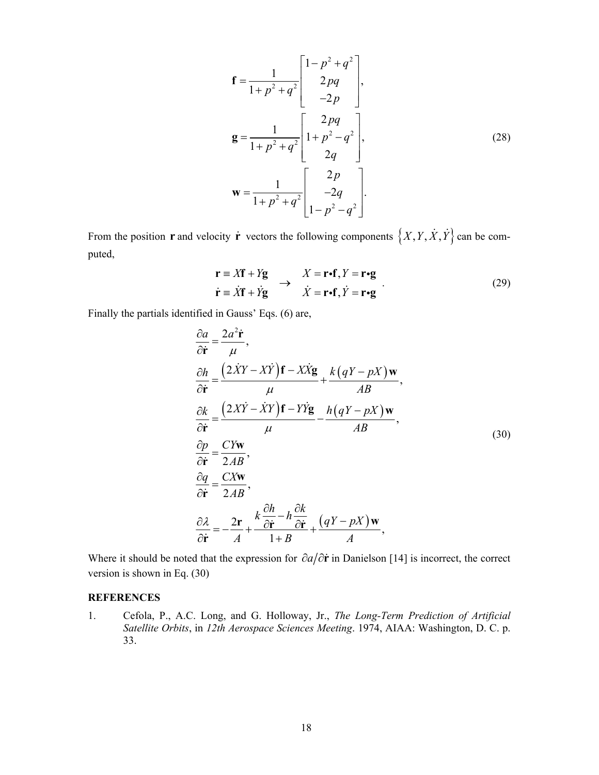$$
\mathbf{f} = \frac{1}{1 + p^2 + q^2} \begin{bmatrix} 1 - p^2 + q^2 \\ 2pq \\ -2p \end{bmatrix},
$$
  
\n
$$
\mathbf{g} = \frac{1}{1 + p^2 + q^2} \begin{bmatrix} 2pq \\ 1 + p^2 - q^2 \\ 2q \end{bmatrix},
$$
  
\n
$$
\mathbf{w} = \frac{1}{1 + p^2 + q^2} \begin{bmatrix} 2p \\ -2q \\ 1 - p^2 - q^2 \end{bmatrix}.
$$
 (28)

From the position **r** and velocity **r** vectors the following components  $\{X, Y, \dot{X}, \dot{Y}\}$  can be computed,

$$
\mathbf{r} \equiv X\mathbf{f} + Y\mathbf{g} \longrightarrow X = \mathbf{r} \cdot \mathbf{f}, Y = \mathbf{r} \cdot \mathbf{g}
$$
  
\n
$$
\dot{\mathbf{r}} \equiv \dot{X}\mathbf{f} + \dot{Y}\mathbf{g} \longrightarrow \dot{X} = \mathbf{r} \cdot \mathbf{f}, \dot{Y} = \mathbf{r} \cdot \mathbf{g}
$$
 (29)

<span id="page-17-0"></span>Finally the partials identified in Gauss' Eqs. [\(6\)](#page-3-0) are,

$$
\frac{\partial a}{\partial \dot{\mathbf{r}}} = \frac{2a^2 \dot{\mathbf{r}}}{\mu},
$$
\n
$$
\frac{\partial h}{\partial \dot{\mathbf{r}}} = \frac{(2\dot{X}Y - X\dot{Y})\mathbf{f} - X\dot{X}\mathbf{g}}{\mu} + \frac{k(qY - pX)\mathbf{w}}{AB},
$$
\n
$$
\frac{\partial k}{\partial \dot{\mathbf{r}}} = \frac{(2X\dot{Y} - \dot{X}Y)\mathbf{f} - Y\dot{Y}\mathbf{g}}{\mu} - \frac{h(qY - pX)\mathbf{w}}{AB},
$$
\n
$$
\frac{\partial p}{\partial \dot{\mathbf{r}}} = \frac{CY\mathbf{w}}{2AB},
$$
\n
$$
\frac{\partial q}{\partial \dot{\mathbf{r}}} = \frac{CX\mathbf{w}}{2AB},
$$
\n
$$
\frac{\partial \lambda}{\partial \dot{\mathbf{r}}} = -\frac{2\mathbf{r}}{A} + \frac{k\frac{\partial h}{\partial \dot{\mathbf{r}}} - h\frac{\partial k}{\partial \dot{\mathbf{r}}}}{1 + B} + \frac{(qY - pX)\mathbf{w}}{A},
$$
\n(30)

Where it should be noted that the expression for  $\partial a/\partial \dot{r}$  in Danielson [14] is incorrect, the correct version is shown in Eq. [\(30\)](#page-17-0)

## **REFERENCES**

1. Cefola, P., A.C. Long, and G. Holloway, Jr., *The Long-Term Prediction of Artificial Satellite Orbits*, in *12th Aerospace Sciences Meeting*. 1974, AIAA: Washington, D. C. p. 33.